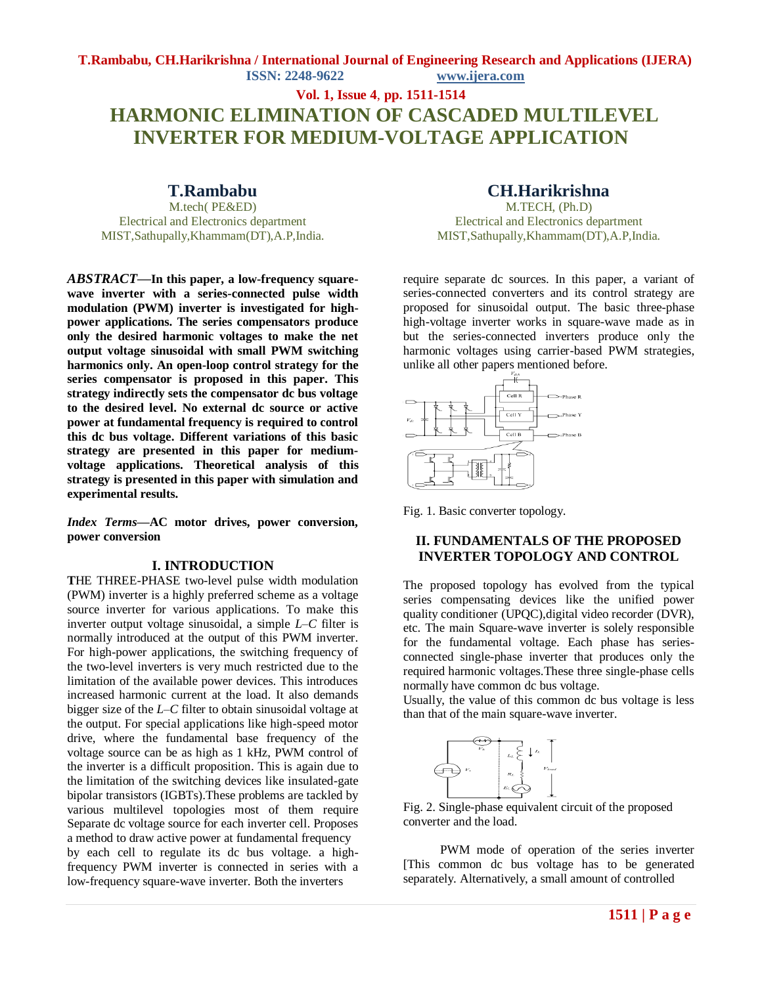**T.Rambabu, CH.Harikrishna / International Journal of Engineering Research and Applications (IJERA) ISSN: 2248-9622 www.ijera.com**

# **Vol. 1, Issue 4**, **pp. 1511-1514 HARMONIC ELIMINATION OF CASCADED MULTILEVEL INVERTER FOR MEDIUM-VOLTAGE APPLICATION**

## **T.Rambabu**

M.tech( PE&ED) Electrical and Electronics department MIST,Sathupally,Khammam(DT),A.P,India.

*ABSTRACT***—In this paper, a low-frequency squarewave inverter with a series-connected pulse width modulation (PWM) inverter is investigated for highpower applications. The series compensators produce only the desired harmonic voltages to make the net output voltage sinusoidal with small PWM switching harmonics only. An open-loop control strategy for the series compensator is proposed in this paper. This strategy indirectly sets the compensator dc bus voltage to the desired level. No external dc source or active power at fundamental frequency is required to control this dc bus voltage. Different variations of this basic strategy are presented in this paper for mediumvoltage applications. Theoretical analysis of this strategy is presented in this paper with simulation and experimental results.**

*Index Terms***—AC motor drives, power conversion, power conversion**

#### **I. INTRODUCTION**

**T**HE THREE-PHASE two-level pulse width modulation (PWM) inverter is a highly preferred scheme as a voltage source inverter for various applications. To make this inverter output voltage sinusoidal, a simple *L–C* filter is normally introduced at the output of this PWM inverter. For high-power applications, the switching frequency of the two-level inverters is very much restricted due to the limitation of the available power devices. This introduces increased harmonic current at the load. It also demands bigger size of the *L–C* filter to obtain sinusoidal voltage at the output. For special applications like high-speed motor drive, where the fundamental base frequency of the voltage source can be as high as 1 kHz, PWM control of the inverter is a difficult proposition. This is again due to the limitation of the switching devices like insulated-gate bipolar transistors (IGBTs).These problems are tackled by various multilevel topologies most of them require Separate dc voltage source for each inverter cell. Proposes a method to draw active power at fundamental frequency by each cell to regulate its dc bus voltage. a highfrequency PWM inverter is connected in series with a low-frequency square-wave inverter. Both the inverters

## **CH.Harikrishna**

M.TECH, (Ph.D) Electrical and Electronics department MIST,Sathupally,Khammam(DT),A.P,India.

require separate dc sources. In this paper, a variant of series-connected converters and its control strategy are proposed for sinusoidal output. The basic three-phase high-voltage inverter works in square-wave made as in but the series-connected inverters produce only the harmonic voltages using carrier-based PWM strategies, unlike all other papers mentioned before.



Fig. 1. Basic converter topology.

## **II. FUNDAMENTALS OF THE PROPOSED INVERTER TOPOLOGY AND CONTROL**

The proposed topology has evolved from the typical series compensating devices like the unified power quality conditioner (UPQC),digital video recorder (DVR), etc. The main Square-wave inverter is solely responsible for the fundamental voltage. Each phase has seriesconnected single-phase inverter that produces only the required harmonic voltages.These three single-phase cells normally have common dc bus voltage.

Usually, the value of this common dc bus voltage is less than that of the main square-wave inverter.



Fig. 2. Single-phase equivalent circuit of the proposed converter and the load.

 PWM mode of operation of the series inverter [This common dc bus voltage has to be generated separately. Alternatively, a small amount of controlled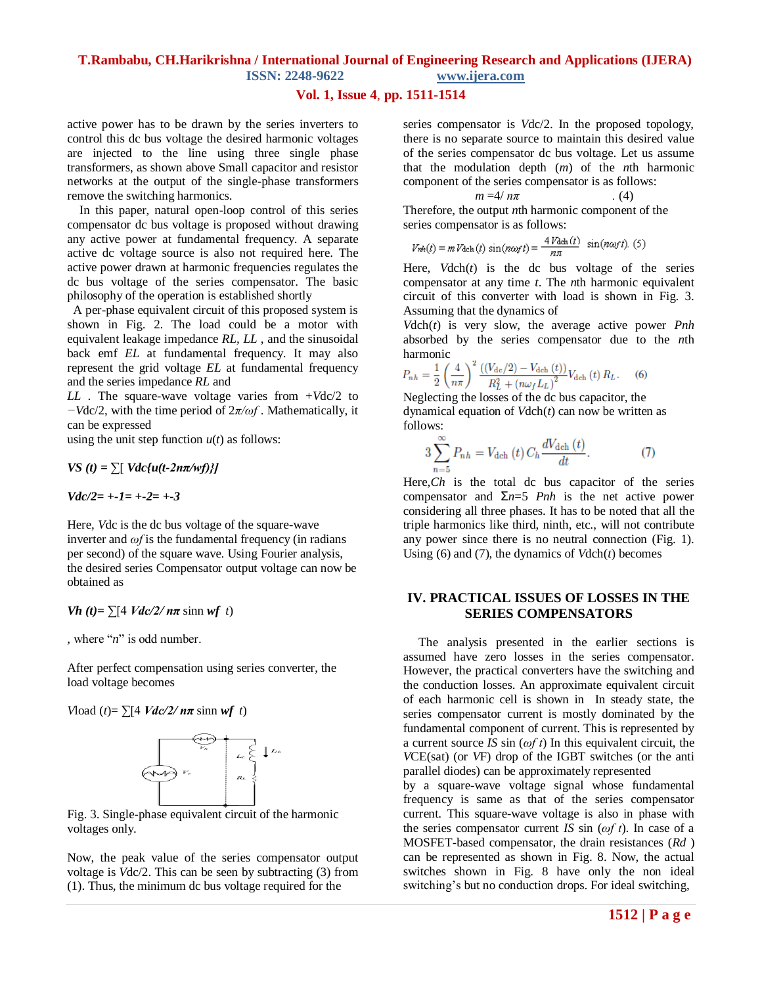### **T.Rambabu, CH.Harikrishna / International Journal of Engineering Research and Applications (IJERA)**

**ISSN: 2248-9622 www.ijera.com**

### **Vol. 1, Issue 4**, **pp. 1511-1514**

active power has to be drawn by the series inverters to control this dc bus voltage the desired harmonic voltages are injected to the line using three single phase transformers, as shown above Small capacitor and resistor networks at the output of the single-phase transformers remove the switching harmonics.

 In this paper, natural open-loop control of this series compensator dc bus voltage is proposed without drawing any active power at fundamental frequency. A separate active dc voltage source is also not required here. The active power drawn at harmonic frequencies regulates the dc bus voltage of the series compensator. The basic philosophy of the operation is established shortly

 A per-phase equivalent circuit of this proposed system is shown in Fig. 2. The load could be a motor with equivalent leakage impedance *RL, LL* , and the sinusoidal back emf *EL* at fundamental frequency. It may also represent the grid voltage *EL* at fundamental frequency and the series impedance *RL* and

*LL* . The square-wave voltage varies from +*V*dc/2 to *−V*dc/2, with the time period of 2*π/ωf* . Mathematically, it can be expressed

using the unit step function  $u(t)$  as follows:

*VS*  $(t) = \sum \left[ Vdc\{u(t-2n\pi/wf)\}\right]$ 

*Vdc/2= +-1= +-2= +-3*

Here, *V*dc is the dc bus voltage of the square-wave inverter and *ωf* is the fundamental frequency (in radians per second) of the square wave. Using Fourier analysis, the desired series Compensator output voltage can now be obtained as

*Vh*  $(t) = \sum [4 \text{ Vdc}/2/\text{ n}\pi \sinh \sqrt{t} t]$ 

*,* where "*n*" is odd number.

After perfect compensation using series converter, the load voltage becomes

*V*load (*t*)=  $\sum$ [4 *Vdc/2/ nπ* sinn *wf t*)



Fig. 3. Single-phase equivalent circuit of the harmonic voltages only.

Now, the peak value of the series compensator output voltage is *V*dc/2. This can be seen by subtracting (3) from (1). Thus, the minimum dc bus voltage required for the

series compensator is *V*dc/2. In the proposed topology, there is no separate source to maintain this desired value of the series compensator dc bus voltage. Let us assume that the modulation depth (*m*) of the *n*th harmonic component of the series compensator is as follows:

$$
m = 4/\,n\pi\tag{4}
$$

Therefore, the output *n*th harmonic component of the series compensator is as follows:

$$
V_{nh}(t) = m V_{\text{dch}}(t) \sin(n\omega_f t) = \frac{4 V_{\text{dch}}(t)}{n\pi} \sin(n\omega_f t). (5)
$$

Here,  $Vdch(t)$  is the dc bus voltage of the series compensator at any time *t*. The *n*th harmonic equivalent circuit of this converter with load is shown in Fig. 3. Assuming that the dynamics of

*V*dch(*t*) is very slow, the average active power *Pnh*  absorbed by the series compensator due to the *n*th harmonic

$$
P_{nh} = \frac{1}{2} \left(\frac{4}{n\pi}\right)^2 \frac{\left(\left(V_{\text{dc}}/2\right) - V_{\text{dch}}\left(t\right)\right)}{R_L^2 + \left(n\omega_f L_L\right)^2} V_{\text{dch}}\left(t\right) R_L. \tag{6}
$$

Neglecting the losses of the dc bus capacitor, the dynamical equation of *V*dch(*t*) can now be written as follows:

$$
3\sum_{n=5}^{\infty}P_{nh}=V_{\text{dch}}\left(t\right)C_{h}\frac{dV_{\text{dch}}\left(t\right)}{dt}.\tag{7}
$$

Here,*Ch* is the total dc bus capacitor of the series compensator and Σ*n*=5 *Pnh* is the net active power considering all three phases. It has to be noted that all the triple harmonics like third, ninth, etc., will not contribute any power since there is no neutral connection (Fig. 1). Using (6) and (7), the dynamics of *V*dch(*t*) becomes

## **IV. PRACTICAL ISSUES OF LOSSES IN THE SERIES COMPENSATORS**

 The analysis presented in the earlier sections is assumed have zero losses in the series compensator. However, the practical converters have the switching and the conduction losses. An approximate equivalent circuit of each harmonic cell is shown in In steady state, the series compensator current is mostly dominated by the fundamental component of current. This is represented by a current source *IS* sin (*ωf t*) In this equivalent circuit, the *V*CE(sat) (or *V*F) drop of the IGBT switches (or the anti parallel diodes) can be approximately represented by a square-wave voltage signal whose fundamental frequency is same as that of the series compensator current. This square-wave voltage is also in phase with the series compensator current *IS* sin (*ωf t*). In case of a MOSFET-based compensator, the drain resistances (*Rd* ) can be represented as shown in Fig. 8. Now, the actual switches shown in Fig. 8 have only the non ideal switching's but no conduction drops. For ideal switching,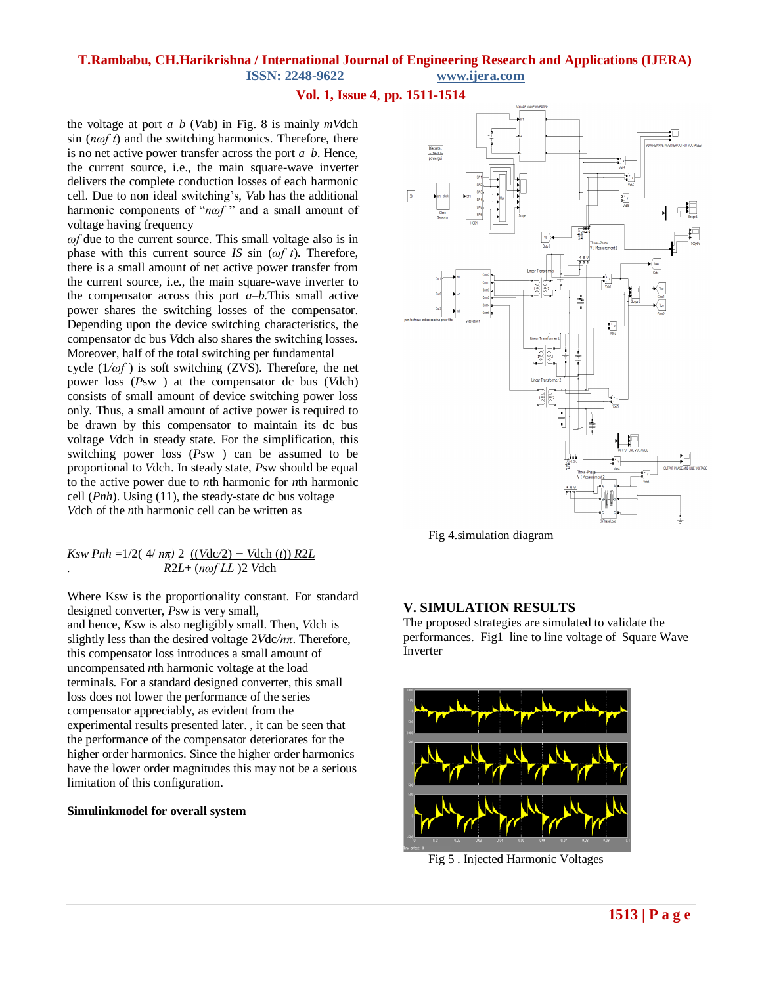## **T.Rambabu, CH.Harikrishna / International Journal of Engineering Research and Applications (IJERA)**

**ISSN: 2248-9622 www.ijera.com**

**Vol. 1, Issue 4**, **pp. 1511-1514**

the voltage at port *a–b* (*V*ab) in Fig. 8 is mainly *mV*dch sin (*nωf t*) and the switching harmonics. Therefore, there is no net active power transfer across the port *a–b*. Hence, the current source, i.e., the main square-wave inverter delivers the complete conduction losses of each harmonic cell. Due to non ideal switching's, *V*ab has the additional harmonic components of "*nωf*" and a small amount of voltage having frequency

*ωf* due to the current source. This small voltage also is in phase with this current source *IS* sin (*ωf t*). Therefore, there is a small amount of net active power transfer from the current source, i.e., the main square-wave inverter to the compensator across this port *a–b*.This small active power shares the switching losses of the compensator. Depending upon the device switching characteristics, the compensator dc bus *V*dch also shares the switching losses. Moreover, half of the total switching per fundamental

cycle (1*/ωf* ) is soft switching (ZVS). Therefore, the net power loss (*P*sw ) at the compensator dc bus (*V*dch) consists of small amount of device switching power loss only. Thus, a small amount of active power is required to be drawn by this compensator to maintain its dc bus voltage *V*dch in steady state. For the simplification, this switching power loss (*P*sw ) can be assumed to be proportional to *V*dch. In steady state, *P*sw should be equal to the active power due to *n*th harmonic for *n*th harmonic cell (*Pnh*). Using (11), the steady-state dc bus voltage *V*dch of the *n*th harmonic cell can be written as

#### *Ksw Pnh* =1/2(  $4/m\pi$ ) 2 ((*V*dc/2) – *V*dch (*t*)) *R2L . R*2*L*+ (*nωf LL* )2 *V*dch

Where Ksw is the proportionality constant. For standard designed converter, *P*sw is very small, and hence, *K*sw is also negligibly small. Then, *V*dch is slightly less than the desired voltage 2*V*dc*/nπ*. Therefore, this compensator loss introduces a small amount of uncompensated *n*th harmonic voltage at the load terminals. For a standard designed converter, this small loss does not lower the performance of the series compensator appreciably, as evident from the experimental results presented later. , it can be seen that the performance of the compensator deteriorates for the higher order harmonics. Since the higher order harmonics have the lower order magnitudes this may not be a serious limitation of this configuration.

#### **Simulinkmodel for overall system**



Fig 4.simulation diagram

## **V. SIMULATION RESULTS**

The proposed strategies are simulated to validate the performances. Fig1 line to line voltage of Square Wave Inverter



Fig 5 . Injected Harmonic Voltages